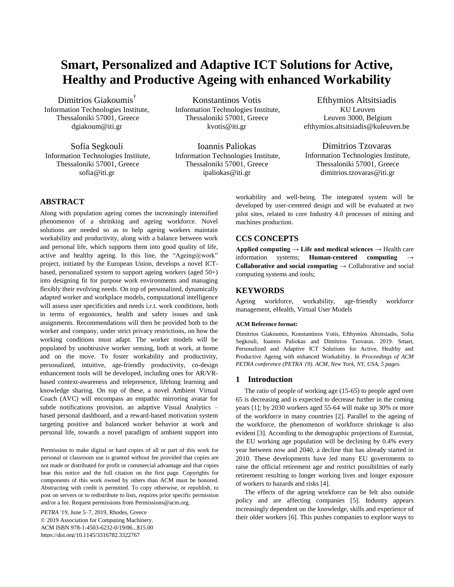# **Smart, Personalized and Adaptive ICT Solutions for Active, Healthy and Productive Ageing with enhanced Workability**

Dimitrios Giakoumis† Information Technologies Institute, Thessaloniki 57001, Greece dgiakoum@iti.gr

Sofia Segkouli Information Technologies Institute, Thessaloniki 57001, Greece sofia@iti.gr

Konstantinos Votis Information Technologies Institute, Thessaloniki 57001, Greece kvotis@iti.gr

Ioannis Paliokas Information Technologies Institute, Thessaloniki 57001, Greece ipaliokas@iti.gr

Efthymios Altsitsiadis KU Leuven Leuven 3000, Belgium efthymios.altsitsiadis@kuleuven.be

Dimitrios Tzovaras Information Technologies Institute, Thessaloniki 57001, Greece dimitrios.tzovaras@iti.gr

# **ABSTRACT**

Along with population ageing comes the increasingly intensified phenomenon of a shrinking and ageing workforce. Novel solutions are needed so as to help ageing workers maintain workability and productivity, along with a balance between work and personal life, which supports them into good quality of life, active and healthy ageing. In this line, the "Ageing $@$ work" project, initiated by the European Union, develops a novel ICTbased, personalized system to support ageing workers (aged 50+) into designing fit for purpose work environments and managing flexibly their evolving needs. On top of personalized, dynamically adapted worker and workplace models, computational intelligence will assess user specificities and needs i.r.t. work conditions, both in terms of ergonomics, health and safety issues and task assignments. Recommendations will then be provided both to the worker and company, under strict privacy restrictions, on how the working conditions must adapt. The worker models will be populated by unobtrusive worker sensing, both at work, at home and on the move. To foster workability and productivity, personalized, intuitive, age-friendly productivity, co-design enhancement tools will be developed, including ones for AR/VRbased context-awareness and telepresence, lifelong learning and knowledge sharing. On top of these, a novel Ambient Virtual Coach (AVC) will encompass an empathic mirroring avatar for subtle notifications provision, an adaptive Visual Analytics – based personal dashboard, and a reward-based motivation system targeting positive and balanced worker behavior at work and personal life, towards a novel paradigm of ambient support into

Permission to make digital or hard copies of all or part of this work for personal or classroom use is granted without fee provided that copies are not made or distributed for profit or commercial advantage and that copies bear this notice and the full citation on the first page. Copyrights for components of this work owned by others than ACM must be honored. Abstracting with credit is permitted. To copy otherwise, or republish, to post on servers or to redistribute to lists, requires prior specific permission and/or a fee. Request permissions from Permissions@acm.org.

*PETRA '19*, June 5–7, 2019, Rhodes, Greece © 2019 Association for Computing Machinery. ACM ISBN 978-1-4503-6232-0/19/06...\$15.00 https://doi.org/10.1145/3316782.3322767

workability and well-being. The integrated system will be developed by user-centered design and will be evaluated at two pilot sites, related to core Industry 4.0 processes of mining and machines production.

#### **CCS CONCEPTS**

**Applied computing → Life and medical sciences** → Health care information systems; **Human-centered computing Collaborative and social computing**  $\rightarrow$  **Collaborative and social** computing systems and tools;

#### **KEYWORDS**

Ageing workforce, workability, age-friendly workforce management, eHealth, Virtual User Models

#### **ACM Reference format:**

Dimitrios Giakoumis, Konstantinos Votis, Efthymios Altsitsiadis, Sofia Segkouli, Ioannis Paliokas and Dimitrios Tzovaras. 2019. Smart, Personalized and Adaptive ICT Solutions for Active, Healthy and Productive Ageing with enhanced Workability. In *Proceedings of ACM PETRA conference (PETRA'19). ACM, New York, NY, USA, 5 pages.*

#### **1 Introduction**

The ratio of people of working age (15-65) to people aged over 65 is decreasing and is expected to decrease further in the coming years [1]; by 2030 workers aged 55-64 will make up 30% or more of the workforce in many countries [2]. Parallel to the ageing of the workforce, the phenomenon of workforce shrinkage is also evident [3]. According to the demographic projections of Eurostat, the EU working age population will be declining by 0.4% every year between now and 2040, a decline that has already started in 2010. These developments have led many EU governments to raise the official retirement age and restrict possibilities of early retirement resulting to longer working lives and longer exposure of workers to hazards and risks [4].

The effects of the ageing workforce can be felt also outside policy and are affecting companies [5]. Industry appears increasingly dependent on the knowledge, skills and experience of their older workers [6]. This pushes companies to explore ways to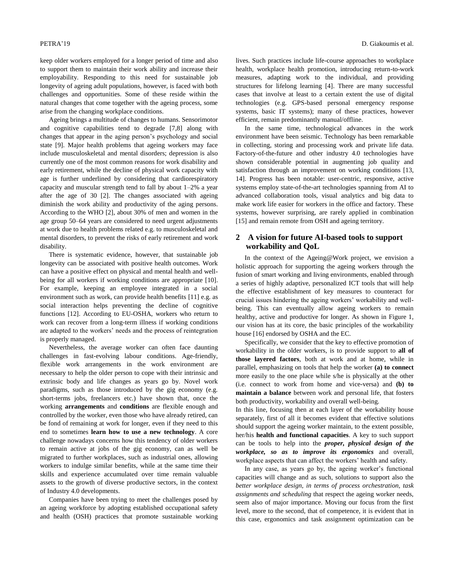keep older workers employed for a longer period of time and also to support them to maintain their work ability and increase their employability. Responding to this need for sustainable job longevity of ageing adult populations, however, is faced with both challenges and opportunities. Some of these reside within the natural changes that come together with the ageing process, some arise from the changing workplace conditions.

Ageing brings a multitude of changes to humans. Sensorimotor and cognitive capabilities tend to degrade [7,8] along with changes that appear in the aging person's psychology and social state [9]. Major health problems that ageing workers may face include musculoskeletal and mental disorders; depression is also currently one of the most common reasons for work disability and early retirement, while the decline of physical work capacity with age is further underlined by considering that cardiorespiratory capacity and muscular strength tend to fall by about 1–2% a year after the age of 30 [2]. The changes associated with ageing diminish the work ability and productivity of the aging persons. According to the WHO [2], about 30% of men and women in the age group 50–64 years are considered to need urgent adjustments at work due to health problems related e.g. to musculoskeletal and mental disorders, to prevent the risks of early retirement and work disability.

There is systematic evidence, however, that sustainable job longevity can be associated with positive health outcomes. Work can have a positive effect on physical and mental health and wellbeing for all workers if working conditions are appropriate [10]. For example, keeping an employee integrated in a social environment such as work, can provide health benefits [11] e.g. as social interaction helps preventing the decline of cognitive functions [12]. According to EU-OSHA, workers who return to work can recover from a long-term illness if working conditions are adapted to the workers' needs and the process of reintegration is properly managed.

Nevertheless, the average worker can often face daunting challenges in fast-evolving labour conditions. Age-friendly, flexible work arrangements in the work environment are necessary to help the older person to cope with their intrinsic and extrinsic body and life changes as years go by. Novel work paradigms, such as those introduced by the gig economy (e.g. short-terms jobs, freelancers etc.) have shown that, once the working **arrangements** and **conditions** are flexible enough and controlled by the worker, even those who have already retired, can be fond of remaining at work for longer, even if they need to this end to sometimes **learn how to use a new technology**. A core challenge nowadays concerns how this tendency of older workers to remain active at jobs of the gig economy, can as well be migrated to further workplaces, such as industrial ones, allowing workers to indulge similar benefits, while at the same time their skills and experience accumulated over time remain valuable assets to the growth of diverse productive sectors, in the context of Industry 4.0 developments.

Companies have been trying to meet the challenges posed by an ageing workforce by adopting established occupational safety and health (OSH) practices that promote sustainable working

lives. Such practices include life-course approaches to workplace health, workplace health promotion, introducing return-to-work measures, adapting work to the individual, and providing structures for lifelong learning [4]. There are many successful cases that involve at least to a certain extent the use of digital technologies (e.g. GPS-based personal emergency response systems, basic IT systems); many of these practices, however efficient, remain predominantly manual/offline.

In the same time, technological advances in the work environment have been seismic. Technology has been remarkable in collecting, storing and processing work and private life data. Factory-of-the-future and other industry 4.0 technologies have shown considerable potential in augmenting job quality and satisfaction through an improvement on working conditions [13, 14]. Progress has been notable: user-centric, responsive, active systems employ state-of-the-art technologies spanning from AI to advanced collaboration tools, visual analytics and big data to make work life easier for workers in the office and factory. These systems, however surprising, are rarely applied in combination [15] and remain remote from OSH and ageing territory.

## **2 A vision for future AI-based tools to support workability and QoL**

In the context of the Ageing@Work project, we envision a holistic approach for supporting the ageing workers through the fusion of smart working and living environments, enabled through a series of highly adaptive, personalized ICT tools that will help the effective establishment of key measures to counteract for crucial issues hindering the ageing workers' workability and wellbeing. This can eventually allow ageing workers to remain healthy, active and productive for longer. As shown in Figure 1, our vision has at its core, the basic principles of the workability house [16] endorsed by OSHA and the EC.

Specifically, we consider that the key to effective promotion of workability in the older workers, is to provide support to **all of those layered factors**, both at work and at home, while in parallel, emphasizing on tools that help the worker **(a) to connect** more easily to the one place while s/he is physically at the other (i.e. connect to work from home and vice-versa) and **(b) to maintain a balance** between work and personal life, that fosters both productivity, workability and overall well-being.

In this line, focusing then at each layer of the workability house separately, first of all it becomes evident that effective solutions should support the ageing worker maintain, to the extent possible, her/his **health and functional capacities**. A key to such support can be tools to help into the *proper, physical design of the workplace, so as to improve its ergonomics* and overall, workplace aspects that can affect the workers' health and safety.

In any case, as years go by, the ageing worker's functional capacities will change and as such, solutions to support also the *better workplace design, in terms of process orchestration, task assignments and scheduling* that respect the ageing worker needs, seem also of major importance. Moving our focus from the first level, more to the second, that of competence, it is evident that in this case, ergonomics and task assignment optimization can be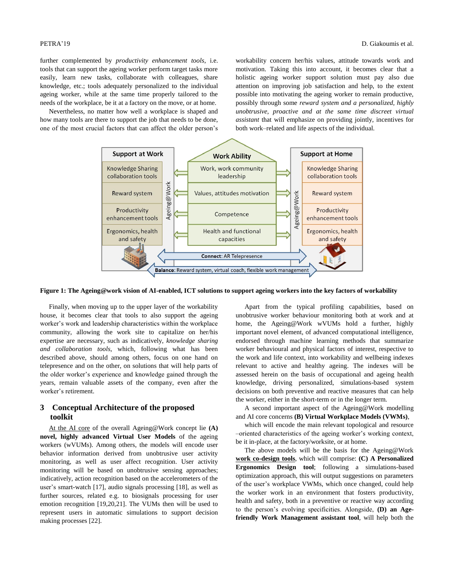further complemented by *productivity enhancement tools*, i.e. tools that can support the ageing worker perform target tasks more easily, learn new tasks, collaborate with colleagues, share knowledge, etc.; tools adequately personalized to the individual ageing worker, while at the same time properly tailored to the needs of the workplace, be it at a factory on the move, or at home.

Nevertheless, no matter how well a workplace is shaped and how many tools are there to support the job that needs to be done, one of the most crucial factors that can affect the older person's

workability concern her/his values, attitude towards work and motivation. Taking this into account, it becomes clear that a holistic ageing worker support solution must pay also due attention on improving job satisfaction and help, to the extent possible into motivating the ageing worker to remain productive, possibly through some *reward system and a personalized, highly unobtrusive, proactive and at the same time discreet virtual assistant* that will emphasize on providing jointly, incentives for both work–related and life aspects of the individual.



**Figure 1: The Ageing@work vision of AI-enabled, ICT solutions to support ageing workers into the key factors of workability** 

Finally, when moving up to the upper layer of the workability house, it becomes clear that tools to also support the ageing worker's work and leadership characteristics within the workplace community, allowing the work site to capitalize on her/his expertise are necessary, such as indicatively, *knowledge sharing and collaboration tools*, which, following what has been described above, should among others, focus on one hand on telepresence and on the other, on solutions that will help parts of the older worker's experience and knowledge gained through the years, remain valuable assets of the company, even after the worker's retirement.

# **3 Conceptual Architecture of the proposed toolkit**

At the AI core of the overall Ageing@Work concept lie **(A) novel, highly advanced Virtual User Models** of the ageing workers (wVUMs). Among others, the models will encode user behavior information derived from unobtrusive user activity monitoring, as well as user affect recognition. User activity monitoring will be based on unobtrusive sensing approaches; indicatively, action recognition based on the accelerometers of the user's smart-watch [17], audio signals processing [18], as well as further sources, related e.g. to biosignals processing for user emotion recognition [19,20,21]. The VUMs then will be used to represent users in automatic simulations to support decision making processes [22].

Apart from the typical profiling capabilities, based on unobtrusive worker behaviour monitoring both at work and at home, the Ageing@Work wVUMs hold a further, highly important novel element, of advanced computational intelligence, endorsed through machine learning methods that summarize worker behavioural and physical factors of interest, respective to the work and life context, into workability and wellbeing indexes relevant to active and healthy ageing. The indexes will be assessed herein on the basis of occupational and ageing health knowledge, driving personalized, simulations-based system decisions on both preventive and reactive measures that can help the worker, either in the short-term or in the longer term.

A second important aspect of the Ageing@Work modelling and AI core concerns **(B) Virtual Workplace Models (VWMs)**,

which will encode the main relevant topological and resource –oriented characteristics of the ageing worker's working context, be it in-place, at the factory/worksite, or at home.

The above models will be the basis for the Ageing@Work **work co-design tools**, which will comprise: **(C) A Personalized Ergonomics Design tool**; following a simulations-based optimization approach, this will output suggestions on parameters of the user's workplace VWMs, which once changed, could help the worker work in an environment that fosters productivity, health and safety, both in a preventive or reactive way according to the person's evolving specificities. Alongside, **(D) an Agefriendly Work Management assistant tool**, will help both the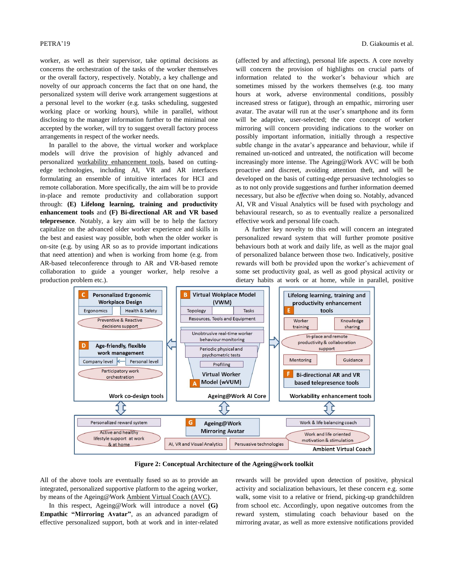worker, as well as their supervisor, take optimal decisions as concerns the orchestration of the tasks of the worker themselves or the overall factory, respectively. Notably, a key challenge and novelty of our approach concerns the fact that on one hand, the personalized system will derive work arrangement suggestions at a personal level to the worker (e.g. tasks scheduling, suggested working place or working hours), while in parallel, without disclosing to the manager information further to the minimal one accepted by the worker, will try to suggest overall factory process arrangements in respect of the worker needs.

In parallel to the above, the virtual worker and workplace models will drive the provision of highly advanced and personalized workability enhancement tools, based on cuttingedge technologies, including AI, VR and AR interfaces formulating an ensemble of intuitive interfaces for HCI and remote collaboration. More specifically, the aim will be to provide in-place and remote productivity and collaboration support through: **(E) Lifelong learning, training and productivity enhancement tools** and **(F) Bi-directional AR and VR based telepresence**. Notably, a key aim will be to help the factory capitalize on the advanced older worker experience and skills in the best and easiest way possible, both when the older worker is on-site (e.g. by using AR so as to provide important indications that need attention) and when is working from home (e.g. from AR-based teleconference through to AR and VR-based remote collaboration to guide a younger worker, help resolve a production problem etc.).

(affected by and affecting), personal life aspects. A core novelty will concern the provision of highlights on crucial parts of information related to the worker's behaviour which are sometimes missed by the workers themselves (e.g. too many hours at work, adverse environmental conditions, possibly increased stress or fatigue), through an empathic, mirroring user avatar. The avatar will run at the user's smartphone and its form will be adaptive, user-selected; the core concept of worker mirroring will concern providing indications to the worker on possibly important information, initially through a respective subtle change in the avatar's appearance and behaviour, while if remained un-noticed and untreated, the notification will become increasingly more intense. The Ageing@Work AVC will be both proactive and discreet, avoiding attention theft, and will be developed on the basis of cutting-edge persuasive technologies so as to not only provide suggestions and further information deemed necessary, but also be *effective* when doing so. Notably, advanced AI, VR and Visual Analytics will be fused with psychology and behavioural research, so as to eventually realize a personalized effective work and personal life coach.

A further key novelty to this end will concern an integrated personalized reward system that will further promote positive behaviours both at work and daily life, as well as the major goal of personalized balance between those two. Indicatively, positive rewards will both be provided upon the worker's achievement of some set productivity goal, as well as good physical activity or dietary habits at work or at home, while in parallel, positive



**Figure 2: Conceptual Architecture of the Ageing@work toolkit**

All of the above tools are eventually fused so as to provide an integrated, personalized supportive platform to the ageing worker, by means of the Ageing@Work Ambient Virtual Coach (AVC).

In this respect, Ageing@Work will introduce a novel **(G) Empathic "Mirroring Avatar"**, as an advanced paradigm of effective personalized support, both at work and in inter-related rewards will be provided upon detection of positive, physical activity and socialization behaviours, let these concern e.g. some walk, some visit to a relative or friend, picking-up grandchildren from school etc. Accordingly, upon negative outcomes from the reward system, stimulating coach behaviour based on the mirroring avatar, as well as more extensive notifications provided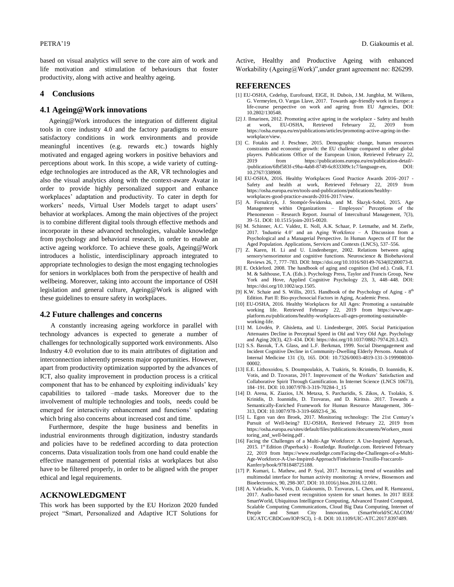based on visual analytics will serve to the core aim of work and life motivation and stimulation of behaviours that foster productivity, along with active and healthy ageing.

#### **4 Conclusions**

#### **4.1 Ageing@Work innovations**

Ageing@Work introduces the integration of different digital tools in core industry 4.0 and the factory paradigms to ensure satisfactory conditions in work environments and provide meaningful incentives (e.g. rewards etc.) towards highly motivated and engaged ageing workers in positive behaviors and perceptions about work. In this scope, a wide variety of cuttingedge technologies are introduced as the AR, VR technologies and also the visual analytics along with the context-aware Avatar in order to provide highly personalized support and enhance workplaces' adaptation and productivity. To cater in depth for workers' needs, Virtual User Models target to adapt users' behavior at workplaces. Among the main objectives of the project is to combine different digital tools through effective methods and incorporate in these advanced technologies, valuable knowledge from psychology and behavioral research, in order to enable an active ageing workforce. To achieve these goals, Ageing@Work introduces a holistic, interdisciplinary approach integrated to appropriate technologies to design the most engaging technologies for seniors in worklplaces both from the perspective of health and wellbeing. Moreover, taking into account the importance of OSH legislation and general culture, Ageing@Work is aligned with these guidelines to ensure safety in workplaces.

#### **4.2 Future challenges and concerns**

A constantly increasing ageing workforce in parallel with technology advances is expected to generate a number of challenges for technologically supported work environments. Also Industry 4.0 evolution due to its main attributes of digitation and interconnection inherently presents major opportunities. However, apart from productivity optimization supported by the advances of ICT, also quality improvement in production process is a critical component that has to be enhanced by exploiting individuals' key capabilities to tailored –made tasks*.* Moreover due to the involvement of multiple technologies and tools, needs could be emerged for interactivity enhancement and functions' updating which bring also concerns about increased cost and time.

Furthermore, despite the huge business and benefits in industrial environments through digitization, industry standards and policies have to be redefined according to data protection concerns. Data visualization tools from one hand could enable the effective management of potential risks at workplaces but also have to be filtered properly, in order to be aligned with the proper ethical and legal requirements.

### **ACKNOWLEDGMENT**

This work has been supported by the EU Horizon 2020 funded project "Smart, Personalized and Adaptive ICT Solutions for Active, Healthy and Productive Ageing with enhanced Workability (Ageing@Work)",under grant agreement no: 826299.

### **REFERENCES**

- [1] EU-OSHA, Cedefop, Eurofound, EIGE, H. Dubois, J.M. Jungblut, M. Wilkens, G. Vermeylen, O. Vargas Llave, 2017. Towards age-friendly work in Europe: a life-course perspective on work and ageing from EU Agencies, DOI: 10.2802/130548.
- [2] J. Ilmarinen, 2012. Promoting active ageing in the workplace Safety and health work, EU-OSHA, Retrieved February 22, 2019 from https://osha.europa.eu/en/publications/articles/promoting-active-ageing-in-theworkplace/view.
- [3] C. Fotakis and J. Peschner, 2015. Demographic change, human resources constraints and economic growth: the EU challenge compared to other global players. Publications Office of the European Union, Retrieved February 22, 2019 from https://publications.europa.eu/en/publication-detail/https://publications.europa.eu/en/publication-detail/-/publication/6fbf583f-c9ba-4ab8-8749-6c833309c1c7/language-en, DOI: 10.2767/338908.
- [4] EU-OSHA, 2016. Healthy Workplaces Good Practice Awards 2016–2017 Safety and health at work, Retrieved February 22, 2019 from https://osha.europa.eu/en/tools-and-publications/publications/healthyworkplaces-good-practice-awards-2016-2017/view.
- [5] A. Fornalczyk, J. Stompór-Świderska, and M. Ślazyk-Sobol, 2015. Age Management within Organizations – Employees' Perceptions of the Phenomenon – Research Report. Journal of Intercultural Management, 7(3), 39–51. DOI: 10.1515/joim-2015-0020.
- [6] M. Schinner, A.C. Valdez, E. Noll, A.K. Schaar, P. Letmathe, and M. Ziefle, 2017. 'Industrie 4.0' and an Aging Workforce – A Discussion from a Psychological and a Managerial Perspective. In Human Aspects of IT for the Aged Population. Applications, Services and Contexts (LNCS), 537–556.
- [7] Z. Karen, H. Li and U. Lindenberger, 2002. Relations between aging sensory/sensorimotor and cognitive functions. Neuroscience & Biobehavioral Reviews 26, 7, 777–783. DOI: https://doi.org/10.1016/S0149-7634(02)00073-8.
- [8] E. Ockleford. 2008. The handbook of aging and cognition (3rd ed.). Craik, F.I. M. & Salthouse, T.A. (Eds.). Psychology Press, Taylor and Francis Group, New York and Hove, Applied Cognitive Psychology 23, 3, 448–448. DOI: https://doi.org/10.1002/acp.1505.
- [9] K.W. Schaie and S. Willis, 2015. Handbook of the Psychology of Aging  $8<sup>th</sup>$ Edition. Part II: Bio-psychosocial Factors in Aging, Academic Press.
- [10] EU-OSHA, 2016. Healthy Workplaces for All Ages: Promoting a sustainable working life. Retrieved February 22, 2019 from https://www.ageplatform.eu/publications/healthy-workplaces-all-ages-promoting-sustainableworking-life.
- [11] M. Lövdén, P. Ghisletta, and U. Lindenberger, 2005. Social Participation Attenuates Decline in Perceptual Speed in Old and Very Old Age. Psychology and Aging 20(3), 423–434. DOI: https://doi.org/10.1037/0882-7974.20.3.423.
- [12] S.S. Bassuk, T.A. Glass, and L.F. Berkman, 1999. Social Disengagement and Incident Cognitive Decline in Community-Dwelling Elderly Persons. Annals of Internal Medicine 131 (3), 165. DOI: 10.7326/0003-4819-131-3-199908030- 00002.
- [13] E.E. Lithoxoidou, S. Doumpoulakis, A. Tsakiris, St. Krinidis, D. Ioannidis, K. Votis, and D. Tzovaras, 2017. Improvement of the Workers' Satisfaction and Collaborative Spirit Through Gamification. In Internet Science (LNCS 10673), 184–191. DOI: 10.1007/978-3-319-70284-1\_15
- [14] D. Arena, K. Ziazios, I.N. Metaxa, S. Parcharidis, S. Zikos, A. Tsolakis, S. Krinidis, D. Ioannidis, D. Tzovaras, and D. Kiritsis. 2017. Towards a Semantically-Enriched Framework for Human Resource Management, 306– 313, DOI: 10.1007/978-3-319-66923-6\_36.
- [15] L. Egon van den Broek, 2017. Monitoring technology: The 21st Century's Pursuit of Well-being? EU-OSHA, Retrieved February 22, 2019 from https://osha.europa.eu/sites/default/files/publications/documents/Workers\_moni toring\_and\_well-being.pdf .
- [16] Facing the Challenges of a Multi-Age Workforce: A Use-Inspired Approach, 2015. <sup>1st</sup> Edition (Paperback) - Routledge. Routledge.com. Retrieved February 22, 2019 from https://www.routledge.com/Facing-the-Challenges-of-a-Multi-Age-Workforce-A-Use-Inspired-Approach/Finkelstein-Truxillo-Fraccaroli-Kanfer/p/book/9781848725188.
- [17] P. Kumari, L. Mathew, and P. Syal, 2017. Increasing trend of wearables and multimodal interface for human activity monitoring: A review, Biosensors and Bioelectronics, 90, 298-307, DOI: 10.1016/j.bios.2016.12.001.
- [18] A. Vafeiadis, K. Votis, D. Giakoumis, D. Tzovaras, L. Chen, and R. Hamzaoui, 2017. Audio-based event recognition system for smart homes. In 2017 IEEE SmartWorld, Ubiquitous Intelligence Computing, Advanced Trusted Computed, Scalable Computing Communications, Cloud Big Data Computing, Internet of People and Smart City Innovation, (SmartWorld/SCALCOM/ and Smart City Innovation, (SmartWorld/SCALCOM/ UIC/ATC/CBDCom/IOP/SCI), 1–8. DOI: 10.1109/UIC-ATC.2017.8397489.